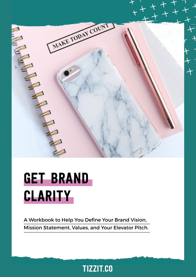

# Get Brand **CLARITY**

A Workbook to Help You Define Your Brand Vision, Mission Statement, Values, and Your Elevator Pitch.

## tizzit.co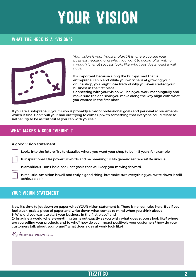# Your vision

### WHAT THE HECK IS A "VISION"?



*Your vision is your "master plan". It is where you see your business heading and what you want to accomplish with or through it: what success looks like, what positive impact it will have.* 

It's important because along the bumpy road that is entrepreneurship and while you work hard at growing your online shop, you might lose track of why you even started your business in the first place.

Connecting with your vision will help you work meaningfully and make sure the decisions you make along the way align with what you wanted in the first place.

If you are a solopreneur, your vision is probably a mix of professional goals and personal achievements, which is fine. Don't pull your hair out trying to come up with something that everyone could relate to. Rather, try to be as truthful as you can with yourself.

### What makes a good "vision" ?

#### A good vision statement:

Looks into the future: Try to vizualise where you want your shop to be in 5 years for example.

Is inspirational: Use powerful words and be meaningful. No generic sentences! Be unique.

Is ambitious: Don't hold back, set goals that will keep you moving forward.

Is realistic. Ambition is well and truly a good thing, but make sure everything you write down is still achievable ;-)

### YOUR VISION STATEMENT

Now it's time to jot down on paper what YOUR vision statement is. There is no real rules here. But if you feel stuck, grab a piece of paper and write down what comes to mind when you think about:

1- Why did you want to start your business in the first place? and

2- Imagine a world where everything turns out exactly as you wish: what does success look like? where are you selling your products and to who? how do you impact positively your customers? how do your customers talk about your brand? what does a day at work look like?

My business vision is....

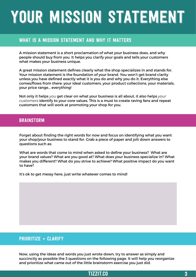# your mission statement

### WHAT is a mission statement and why it matters

A mission statement is a short proclamation of what your business does, and why people should buy from you. It helps you clarify your goals and tells your customers what makes your business unique.

A great mission statement defines clearly what the shop specializes in and stands for. Your mission statement is the foundation of your brand. You won't get brand clarity unless you have defined exactly what it is you do and why you do it. Everything else comes/flows from there: your ideal customers, your product collections, your materials, your price range... everything!

Not only it helps *you* get clear on what your business is all about, it also helps *your customers* identify to your core values. This is a must to create raving fans and repeat customers that will work at promoting your shop for you.

### **BRAINSTORM**

Forget about finding the right words for now and focus on identifying what you want your shop/your business to stand for. Grab a piece of paper and jolt down answers to questions such as:

What are words that come to mind when asked to define your business? What are your brand values? What are you good at? What does your business specialize in? What makes you different? What do you strive to achieve? What positive impact do you want to have?

It's ok to get messy here, just write whatever comes to mind!

### $PRIORITIZE + CLARIFY$

Now, using the ideas and words you just wrote down, try to answer as simply and succinctly as possible the 3 questions on the following page. It will help you reorganize and prioritize what came out of the little brainstorm exercise you just did.

### TIZZIT.CO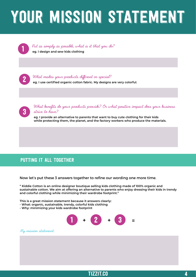# your mission statement



2

3

 Put as simply as possible, what is it that you do? **eg. I design and sew kids clothing**

What makes your products different or special?

**eg. I use certified organic cotton fabric. My designs are very colorful.** 

What benefits do your products provide? Or what positive impact does your business strive to have?

**eg. I provide an alternative to parents that want to buy cute clothing for their kids while protecting them, the planet, and the factory workers who produce the materials.**

### PUTTING IT ALL TOGETHER

Now let's put these 3 answers together to refine our wording one more time.

**" Kiddie Cotton is an online designer boutique selling kids clothing made of 100% organic and sustainable cotton. We aim at offering an alternative to parents who enjoy dressing their kids in trendy and colorful clothing while minimizing their wardrobe footprint."**

**This is a great mission statement because it answers clearly:**

- **What: organic, sustainable, trendy, colorful kids clothing**
- **Why: minimizing your kids wardrobe footprint**



#### My mission statement: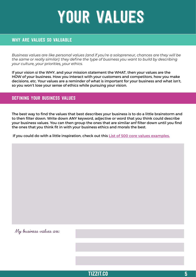# YOUR VALUES

### WHY ARE VALUES SO VALUABLE

*Business values are like personal values (and if you're a solopreneur, chances are they will be the same or really similar): they define the type of business you want to build by describing your culture, your priorities, your ethics.*

If your vision si the WHY, and your mission statement the WHAT, then your values are the HOW of your business. How you interact with your customers and competitors, how you make decisions, etc. Your values are a reminder of what is important for your business and what isn't, so you won't lose your sense of ethics while pursuing your vision.

### Defining your business values

The best way to find the values that best describes your business is to do a little brainstorm and to then filter down. Write down ANY keyword, adjective or word that you think could describe your business values. You can then group the ones that are similar anf filter down until you find the ones that you think fit in with your business ethics and morals the best.

If you could do with a little inspiration, check out this **[List of 500 core values examples](http://www.threadsculture.com/blog/company-culture/core-values-list-threads/).**

My business values are:

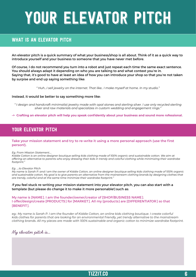# YOUR ELEVATOR PITCH

### WHAT IS AN ELEVATOR PITCH

An elevator pitch is a quick summary of what your business/shop is all about. Think of it as a quick way to introduce yourself and your business to someone that you have never met before.

Of course, I do not recommend you turn into a robot and just repeat each time the same exact sentence. You should always adapt it depending on who you are talking to and what context you're in. Saying that, it's good to have at least an idea of how you can introduce your shop so that you're not taken by surpise and end up saying something like:

*" Huh...I sell jewelry on the internet. That like.. I make myself at home. In my studio."* 

#### Instead, it would be better to say something more like:

*" I design and handcraft minimalist jewelry made with opal stones and sterling silver. I use only recycled sterling silver and raw materials and specializes in custom wedding and engagement rings."*

**-> Crafting an elevator pitch will help you speak confidently about your business and sound more rofessional.** 

### YOUR ELEVATOR PITCH

#### **Take your mission statement and try to re-write it using a more personal approach (use the first person!).**

#### *Eg. From Mission Statement....*

*Kiddie Cotton is an online designer boutique selling kids clothing made of 100% organic and sustainable cotton. We aim at offering an alternative to parents who enjoy dressing their kids in trendy and colorful clothing while minimizing their wardrobe footprint."* 

#### *Eg. ....to Elevator Pitch*

*My name is Sarah P. and I am the owner of Kiddie Cotton, an online designer boutique selling kids clothing made of 100% organic and sustainable cotton. My goal is to give parents an alternative from the mainstream clothing brands by designing clothes that are trendy, colorful and at the same time minimize their wardrobe footprint."* 

#### *I*f you feel stuck re-writing your mission statement into your elevator pitch, you can also start with a template (but please do change it to make it more personable!) such as:

My name is [NAME]. I am the founder/owner/creator of [SHOP/BUSINESS NAME]. I offer/design/create [PRODUCTS] for [MARKET]. All my {products} are [DIFFERENTIATOR] so that [BENEFIT].

*eg.: My name is Sarah P. I am the founder of Kiddie Cotton, an online kids clothing boutique. I create colorful kids clothes for parents that are looking for an environmental friendly, yet trendy alternative to the mainstream clothing brands. All my pieces are made with 100% sustainable and organic cotton to minimize wardrobe footprint.* 

### My elevator pitch is...